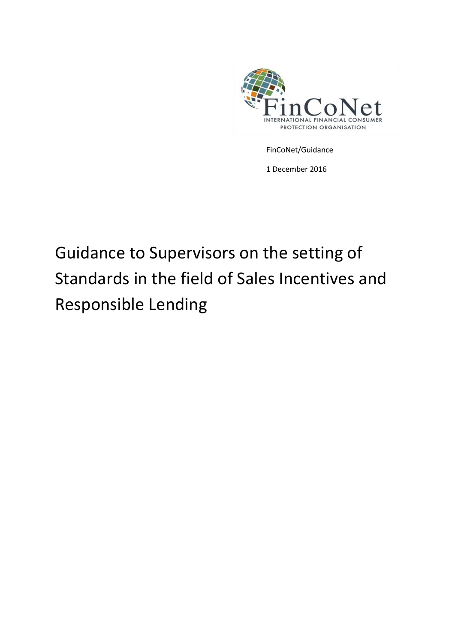

FinCoNet/Guidance

1 December 2016

# Guidance to Supervisors on the setting of Standards in the field of Sales Incentives and Responsible Lending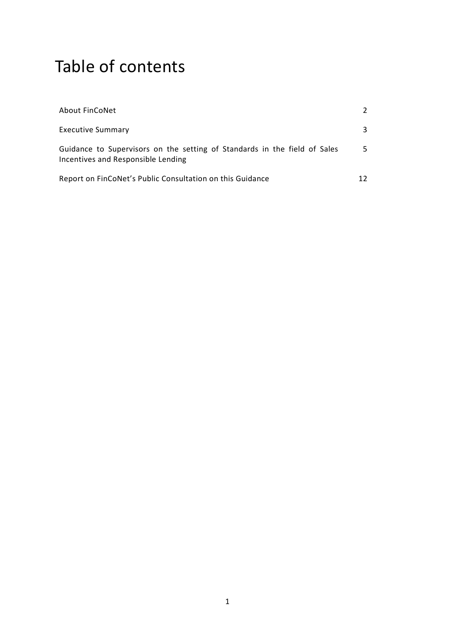# Table of contents

| About FinCoNet                                                                                                  |    |
|-----------------------------------------------------------------------------------------------------------------|----|
| <b>Executive Summary</b>                                                                                        | 3  |
| Guidance to Supervisors on the setting of Standards in the field of Sales<br>Incentives and Responsible Lending | 5. |
| Report on FinCoNet's Public Consultation on this Guidance                                                       |    |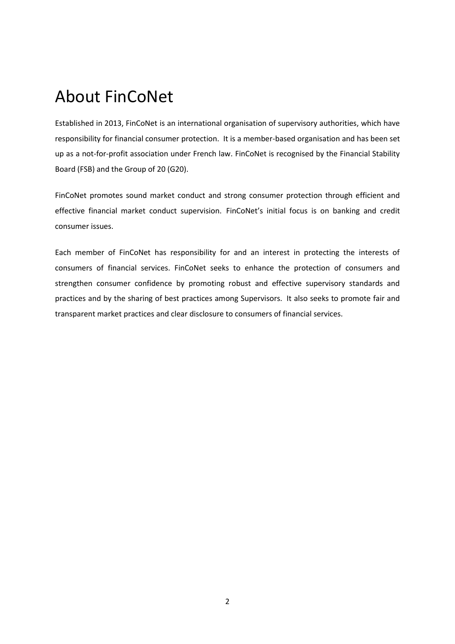## About FinCoNet

Established in 2013, FinCoNet is an international organisation of supervisory authorities, which have responsibility for financial consumer protection. It is a member-based organisation and has been set up as a not-for-profit association under French law. FinCoNet is recognised by the Financial Stability Board (FSB) and the Group of 20 (G20).

FinCoNet promotes sound market conduct and strong consumer protection through efficient and effective financial market conduct supervision. FinCoNet's initial focus is on banking and credit consumer issues.

Each member of FinCoNet has responsibility for and an interest in protecting the interests of consumers of financial services. FinCoNet seeks to enhance the protection of consumers and strengthen consumer confidence by promoting robust and effective supervisory standards and practices and by the sharing of best practices among Supervisors. It also seeks to promote fair and transparent market practices and clear disclosure to consumers of financial services.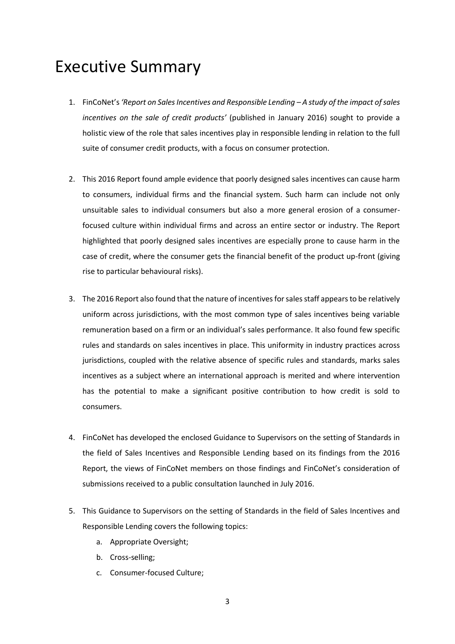## Executive Summary

- 1. FinCoNet's *'Report on Sales Incentives and Responsible Lending – A study of the impact of sales incentives on the sale of credit products'* (published in January 2016) sought to provide a holistic view of the role that sales incentives play in responsible lending in relation to the full suite of consumer credit products, with a focus on consumer protection.
- 2. This 2016 Report found ample evidence that poorly designed sales incentives can cause harm to consumers, individual firms and the financial system. Such harm can include not only unsuitable sales to individual consumers but also a more general erosion of a consumerfocused culture within individual firms and across an entire sector or industry. The Report highlighted that poorly designed sales incentives are especially prone to cause harm in the case of credit, where the consumer gets the financial benefit of the product up-front (giving rise to particular behavioural risks).
- 3. The 2016 Report also found that the nature of incentives for sales staff appears to be relatively uniform across jurisdictions, with the most common type of sales incentives being variable remuneration based on a firm or an individual's sales performance. It also found few specific rules and standards on sales incentives in place. This uniformity in industry practices across jurisdictions, coupled with the relative absence of specific rules and standards, marks sales incentives as a subject where an international approach is merited and where intervention has the potential to make a significant positive contribution to how credit is sold to consumers.
- 4. FinCoNet has developed the enclosed Guidance to Supervisors on the setting of Standards in the field of Sales Incentives and Responsible Lending based on its findings from the 2016 Report, the views of FinCoNet members on those findings and FinCoNet's consideration of submissions received to a public consultation launched in July 2016.
- 5. This Guidance to Supervisors on the setting of Standards in the field of Sales Incentives and Responsible Lending covers the following topics:
	- a. Appropriate Oversight;
	- b. Cross-selling;
	- c. Consumer-focused Culture;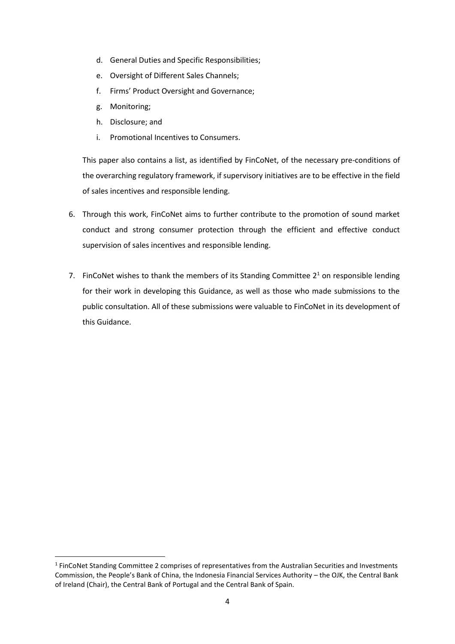- d. General Duties and Specific Responsibilities;
- e. Oversight of Different Sales Channels;
- f. Firms' Product Oversight and Governance;
- g. Monitoring;

**.** 

- h. Disclosure; and
- i. Promotional Incentives to Consumers.

This paper also contains a list, as identified by FinCoNet, of the necessary pre-conditions of the overarching regulatory framework, if supervisory initiatives are to be effective in the field of sales incentives and responsible lending.

- 6. Through this work, FinCoNet aims to further contribute to the promotion of sound market conduct and strong consumer protection through the efficient and effective conduct supervision of sales incentives and responsible lending.
- 7. FinCoNet wishes to thank the members of its Standing Committee  $2<sup>1</sup>$  on responsible lending for their work in developing this Guidance, as well as those who made submissions to the public consultation. All of these submissions were valuable to FinCoNet in its development of this Guidance.

<sup>&</sup>lt;sup>1</sup> FinCoNet Standing Committee 2 comprises of representatives from the Australian Securities and Investments Commission, the People's Bank of China, the Indonesia Financial Services Authority – the OJK, the Central Bank of Ireland (Chair), the Central Bank of Portugal and the Central Bank of Spain.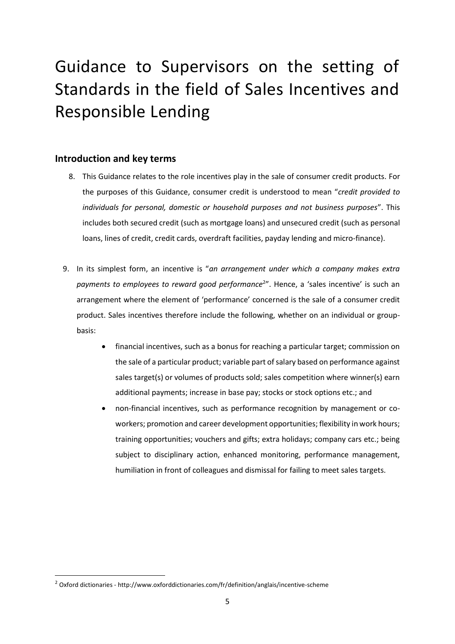# Guidance to Supervisors on the setting of Standards in the field of Sales Incentives and Responsible Lending

### **Introduction and key terms**

- 8. This Guidance relates to the role incentives play in the sale of consumer credit products. For the purposes of this Guidance, consumer credit is understood to mean "*credit provided to individuals for personal, domestic or household purposes and not business purposes*". This includes both secured credit (such as mortgage loans) and unsecured credit (such as personal loans, lines of credit, credit cards, overdraft facilities, payday lending and micro-finance).
- 9. In its simplest form, an incentive is "*an arrangement under which a company makes extra*  payments to employees to reward good performance<sup>2</sup>". Hence, a 'sales incentive' is such an arrangement where the element of 'performance' concerned is the sale of a consumer credit product. Sales incentives therefore include the following, whether on an individual or groupbasis:
	- financial incentives, such as a bonus for reaching a particular target; commission on the sale of a particular product; variable part of salary based on performance against sales target(s) or volumes of products sold; sales competition where winner(s) earn additional payments; increase in base pay; stocks or stock options etc.; and
	- non-financial incentives, such as performance recognition by management or coworkers; promotion and career development opportunities; flexibility in work hours; training opportunities; vouchers and gifts; extra holidays; company cars etc.; being subject to disciplinary action, enhanced monitoring, performance management, humiliation in front of colleagues and dismissal for failing to meet sales targets.

**.** 

<sup>2</sup> Oxford dictionaries - http://www.oxforddictionaries.com/fr/definition/anglais/incentive-scheme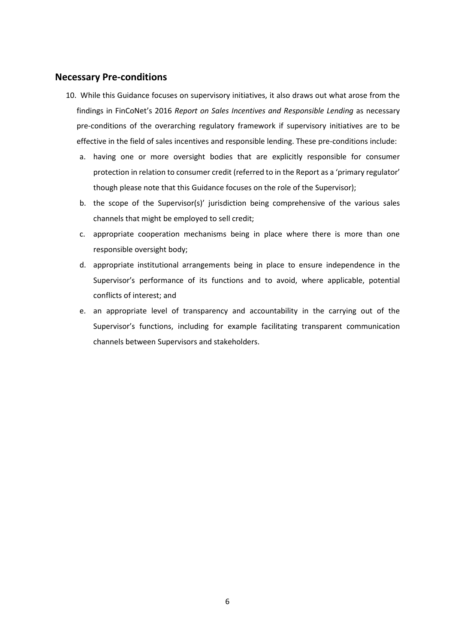#### **Necessary Pre-conditions**

- 10. While this Guidance focuses on supervisory initiatives, it also draws out what arose from the findings in FinCoNet's 2016 *Report on Sales Incentives and Responsible Lending* as necessary pre-conditions of the overarching regulatory framework if supervisory initiatives are to be effective in the field of sales incentives and responsible lending. These pre-conditions include:
	- a. having one or more oversight bodies that are explicitly responsible for consumer protection in relation to consumer credit (referred to in the Report as a 'primary regulator' though please note that this Guidance focuses on the role of the Supervisor);
	- b. the scope of the Supervisor(s)' jurisdiction being comprehensive of the various sales channels that might be employed to sell credit;
	- c. appropriate cooperation mechanisms being in place where there is more than one responsible oversight body;
	- d. appropriate institutional arrangements being in place to ensure independence in the Supervisor's performance of its functions and to avoid, where applicable, potential conflicts of interest; and
	- e. an appropriate level of transparency and accountability in the carrying out of the Supervisor's functions, including for example facilitating transparent communication channels between Supervisors and stakeholders.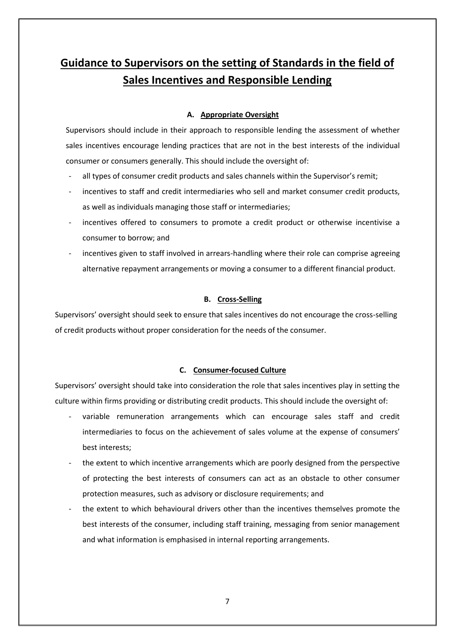## **Guidance to Supervisors on the setting of Standards in the field of Sales Incentives and Responsible Lending**

#### **A. Appropriate Oversight**

Supervisors should include in their approach to responsible lending the assessment of whether sales incentives encourage lending practices that are not in the best interests of the individual consumer or consumers generally. This should include the oversight of:

- all types of consumer credit products and sales channels within the Supervisor's remit;
- incentives to staff and credit intermediaries who sell and market consumer credit products, as well as individuals managing those staff or intermediaries;
- incentives offered to consumers to promote a credit product or otherwise incentivise a consumer to borrow; and
- incentives given to staff involved in arrears-handling where their role can comprise agreeing alternative repayment arrangements or moving a consumer to a different financial product.

#### **B. Cross-Selling**

Supervisors' oversight should seek to ensure that sales incentives do not encourage the cross-selling of credit products without proper consideration for the needs of the consumer.

#### **C. Consumer-focused Culture**

Supervisors' oversight should take into consideration the role that sales incentives play in setting the culture within firms providing or distributing credit products. This should include the oversight of:

- variable remuneration arrangements which can encourage sales staff and credit intermediaries to focus on the achievement of sales volume at the expense of consumers' best interests;
- the extent to which incentive arrangements which are poorly designed from the perspective of protecting the best interests of consumers can act as an obstacle to other consumer protection measures, such as advisory or disclosure requirements; and
- the extent to which behavioural drivers other than the incentives themselves promote the best interests of the consumer, including staff training, messaging from senior management and what information is emphasised in internal reporting arrangements.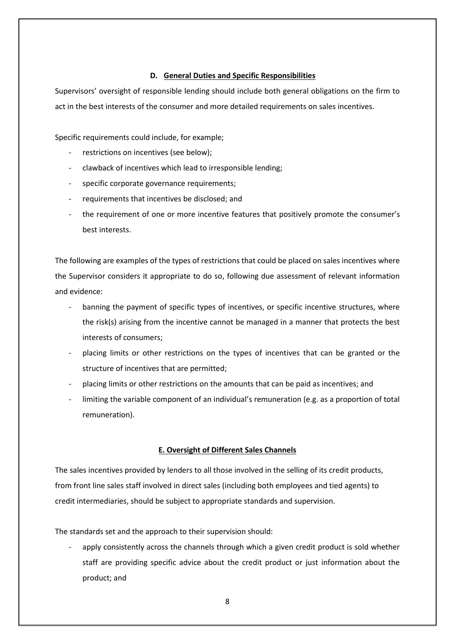#### **D. General Duties and Specific Responsibilities**

Supervisors' oversight of responsible lending should include both general obligations on the firm to act in the best interests of the consumer and more detailed requirements on sales incentives.

Specific requirements could include, for example;

- restrictions on incentives (see below);
- clawback of incentives which lead to irresponsible lending;
- specific corporate governance requirements;
- requirements that incentives be disclosed; and
- the requirement of one or more incentive features that positively promote the consumer's best interests.

The following are examples of the types of restrictions that could be placed on sales incentives where the Supervisor considers it appropriate to do so, following due assessment of relevant information and evidence:

- banning the payment of specific types of incentives, or specific incentive structures, where the risk(s) arising from the incentive cannot be managed in a manner that protects the best interests of consumers;
- placing limits or other restrictions on the types of incentives that can be granted or the structure of incentives that are permitted;
- placing limits or other restrictions on the amounts that can be paid as incentives; and
- limiting the variable component of an individual's remuneration (e.g. as a proportion of total remuneration).

#### **E. Oversight of Different Sales Channels**

The sales incentives provided by lenders to all those involved in the selling of its credit products, from front line sales staff involved in direct sales (including both employees and tied agents) to credit intermediaries, should be subject to appropriate standards and supervision.

The standards set and the approach to their supervision should:

apply consistently across the channels through which a given credit product is sold whether staff are providing specific advice about the credit product or just information about the product; and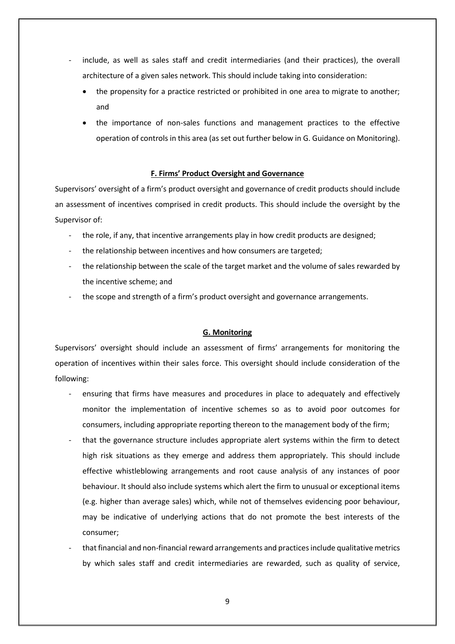- include, as well as sales staff and credit intermediaries (and their practices), the overall architecture of a given sales network. This should include taking into consideration:
	- the propensity for a practice restricted or prohibited in one area to migrate to another; and
	- the importance of non-sales functions and management practices to the effective operation of controls in this area (as set out further below in G. Guidance on Monitoring).

#### **F. Firms' Product Oversight and Governance**

Supervisors' oversight of a firm's product oversight and governance of credit products should include an assessment of incentives comprised in credit products. This should include the oversight by the Supervisor of:

- the role, if any, that incentive arrangements play in how credit products are designed;
- the relationship between incentives and how consumers are targeted;
- the relationship between the scale of the target market and the volume of sales rewarded by the incentive scheme; and
- the scope and strength of a firm's product oversight and governance arrangements.

#### **G. Monitoring**

Supervisors' oversight should include an assessment of firms' arrangements for monitoring the operation of incentives within their sales force. This oversight should include consideration of the following:

- ensuring that firms have measures and procedures in place to adequately and effectively monitor the implementation of incentive schemes so as to avoid poor outcomes for consumers, including appropriate reporting thereon to the management body of the firm;
- that the governance structure includes appropriate alert systems within the firm to detect high risk situations as they emerge and address them appropriately. This should include effective whistleblowing arrangements and root cause analysis of any instances of poor behaviour. It should also include systems which alert the firm to unusual or exceptional items (e.g. higher than average sales) which, while not of themselves evidencing poor behaviour, may be indicative of underlying actions that do not promote the best interests of the consumer;
- that financial and non-financial reward arrangements and practices include qualitative metrics by which sales staff and credit intermediaries are rewarded, such as quality of service,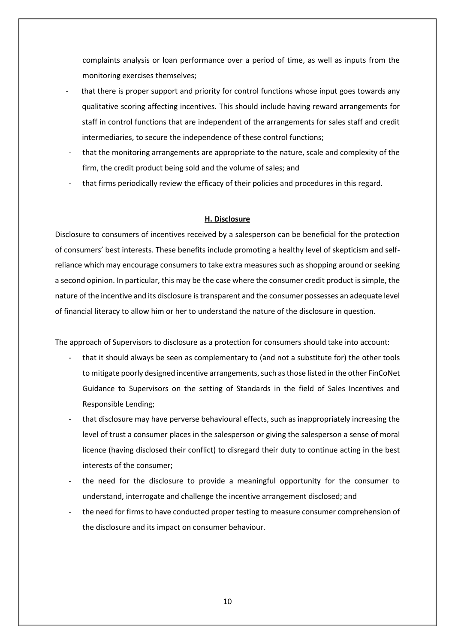complaints analysis or loan performance over a period of time, as well as inputs from the monitoring exercises themselves;

- that there is proper support and priority for control functions whose input goes towards any qualitative scoring affecting incentives. This should include having reward arrangements for staff in control functions that are independent of the arrangements for sales staff and credit intermediaries, to secure the independence of these control functions;
- that the monitoring arrangements are appropriate to the nature, scale and complexity of the firm, the credit product being sold and the volume of sales; and
- that firms periodically review the efficacy of their policies and procedures in this regard.

#### **H. Disclosure**

Disclosure to consumers of incentives received by a salesperson can be beneficial for the protection of consumers' best interests. These benefits include promoting a healthy level of skepticism and selfreliance which may encourage consumers to take extra measures such as shopping around or seeking a second opinion. In particular, this may be the case where the consumer credit product is simple, the nature of the incentive and its disclosure is transparent and the consumer possesses an adequate level of financial literacy to allow him or her to understand the nature of the disclosure in question.

The approach of Supervisors to disclosure as a protection for consumers should take into account:

- that it should always be seen as complementary to (and not a substitute for) the other tools to mitigate poorly designed incentive arrangements, such as those listed in the other FinCoNet Guidance to Supervisors on the setting of Standards in the field of Sales Incentives and Responsible Lending;
- that disclosure may have perverse behavioural effects, such as inappropriately increasing the level of trust a consumer places in the salesperson or giving the salesperson a sense of moral licence (having disclosed their conflict) to disregard their duty to continue acting in the best interests of the consumer;
- the need for the disclosure to provide a meaningful opportunity for the consumer to understand, interrogate and challenge the incentive arrangement disclosed; and
- the need for firms to have conducted proper testing to measure consumer comprehension of the disclosure and its impact on consumer behaviour.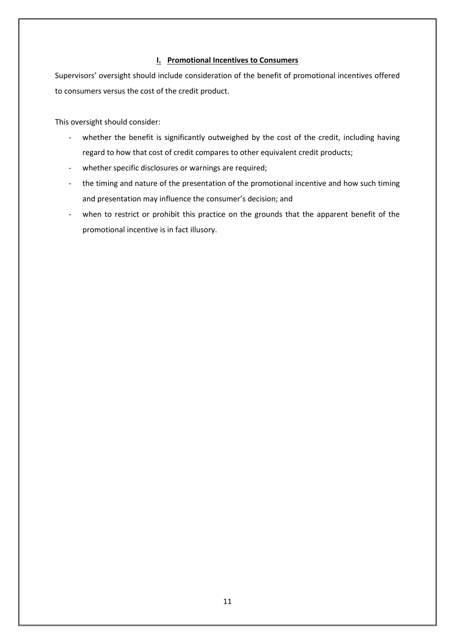#### **I. Promotional Incentives to Consumers**

Supervisors' oversight should include consideration of the benefit of promotional incentives offered to consumers versus the cost of the credit product.

This oversight should consider:

- whether the benefit is significantly outweighed by the cost of the credit, including having regard to how that cost of credit compares to other equivalent credit products;
- whether specific disclosures or warnings are required;
- the timing and nature of the presentation of the promotional incentive and how such timing and presentation may influence the consumer's decision; and
- when to restrict or prohibit this practice on the grounds that the apparent benefit of the promotional incentive is in fact illusory.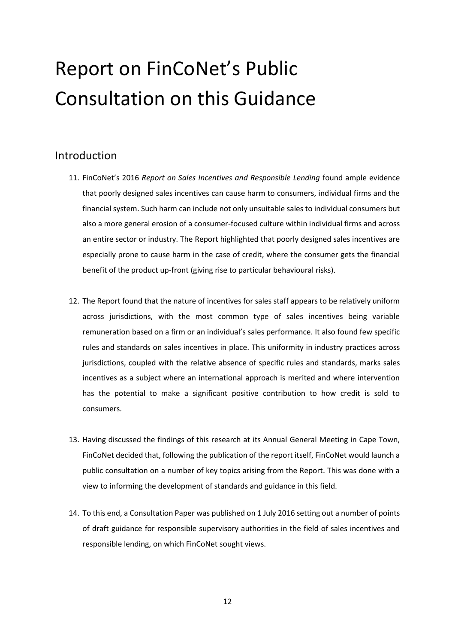# Report on FinCoNet's Public Consultation on this Guidance

### Introduction

- 11. FinCoNet's 2016 *Report on Sales Incentives and Responsible Lending* found ample evidence that poorly designed sales incentives can cause harm to consumers, individual firms and the financial system. Such harm can include not only unsuitable sales to individual consumers but also a more general erosion of a consumer-focused culture within individual firms and across an entire sector or industry. The Report highlighted that poorly designed sales incentives are especially prone to cause harm in the case of credit, where the consumer gets the financial benefit of the product up-front (giving rise to particular behavioural risks).
- 12. The Report found that the nature of incentives for sales staff appears to be relatively uniform across jurisdictions, with the most common type of sales incentives being variable remuneration based on a firm or an individual's sales performance. It also found few specific rules and standards on sales incentives in place. This uniformity in industry practices across jurisdictions, coupled with the relative absence of specific rules and standards, marks sales incentives as a subject where an international approach is merited and where intervention has the potential to make a significant positive contribution to how credit is sold to consumers.
- 13. Having discussed the findings of this research at its Annual General Meeting in Cape Town, FinCoNet decided that, following the publication of the report itself, FinCoNet would launch a public consultation on a number of key topics arising from the Report. This was done with a view to informing the development of standards and guidance in this field.
- 14. To this end, a Consultation Paper was published on 1 July 2016 setting out a number of points of draft guidance for responsible supervisory authorities in the field of sales incentives and responsible lending, on which FinCoNet sought views.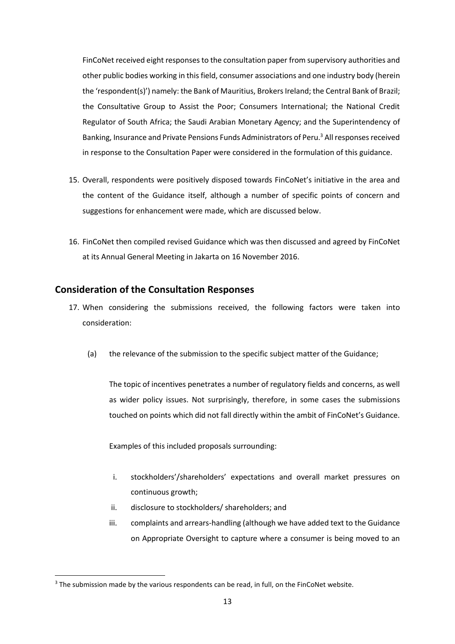FinCoNet received eight responsesto the consultation paper from supervisory authorities and other public bodies working in this field, consumer associations and one industry body (herein the 'respondent(s)') namely: the Bank of Mauritius, Brokers Ireland; the Central Bank of Brazil; the Consultative Group to Assist the Poor; Consumers International; the National Credit Regulator of South Africa; the Saudi Arabian Monetary Agency; and the Superintendency of Banking, Insurance and Private Pensions Funds Administrators of Peru.<sup>3</sup> All responses received in response to the Consultation Paper were considered in the formulation of this guidance.

- 15. Overall, respondents were positively disposed towards FinCoNet's initiative in the area and the content of the Guidance itself, although a number of specific points of concern and suggestions for enhancement were made, which are discussed below.
- 16. FinCoNet then compiled revised Guidance which was then discussed and agreed by FinCoNet at its Annual General Meeting in Jakarta on 16 November 2016.

### **Consideration of the Consultation Responses**

- 17. When considering the submissions received, the following factors were taken into consideration:
	- (a) the relevance of the submission to the specific subject matter of the Guidance;

The topic of incentives penetrates a number of regulatory fields and concerns, as well as wider policy issues. Not surprisingly, therefore, in some cases the submissions touched on points which did not fall directly within the ambit of FinCoNet's Guidance.

Examples of this included proposals surrounding:

- i. stockholders'/shareholders' expectations and overall market pressures on continuous growth;
- ii. disclosure to stockholders/ shareholders; and
- iii. complaints and arrears-handling (although we have added text to the Guidance on Appropriate Oversight to capture where a consumer is being moved to an

**.** 

<sup>&</sup>lt;sup>3</sup> The submission made by the various respondents can be read, in full, on the FinCoNet website.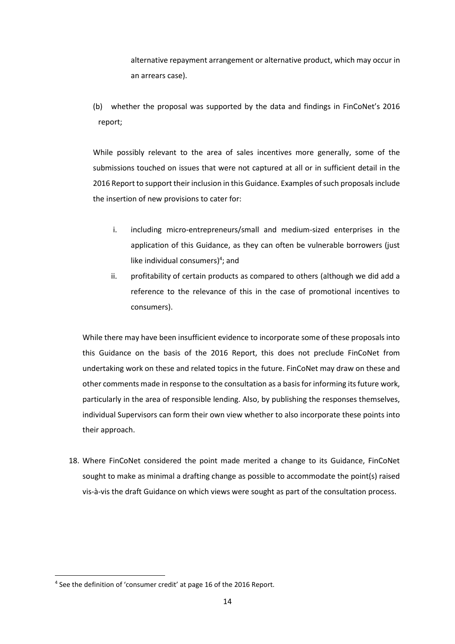alternative repayment arrangement or alternative product, which may occur in an arrears case).

(b) whether the proposal was supported by the data and findings in FinCoNet's 2016 report;

While possibly relevant to the area of sales incentives more generally, some of the submissions touched on issues that were not captured at all or in sufficient detail in the 2016 Report to support their inclusion in this Guidance. Examples of such proposals include the insertion of new provisions to cater for:

- i. including micro-entrepreneurs/small and medium-sized enterprises in the application of this Guidance, as they can often be vulnerable borrowers (just like individual consumers)<sup>4</sup>; and
- ii. profitability of certain products as compared to others (although we did add a reference to the relevance of this in the case of promotional incentives to consumers).

While there may have been insufficient evidence to incorporate some of these proposals into this Guidance on the basis of the 2016 Report, this does not preclude FinCoNet from undertaking work on these and related topics in the future. FinCoNet may draw on these and other comments made in response to the consultation as a basis for informing its future work, particularly in the area of responsible lending. Also, by publishing the responses themselves, individual Supervisors can form their own view whether to also incorporate these points into their approach.

18. Where FinCoNet considered the point made merited a change to its Guidance, FinCoNet sought to make as minimal a drafting change as possible to accommodate the point(s) raised vis-à-vis the draft Guidance on which views were sought as part of the consultation process.

**.** 

<sup>&</sup>lt;sup>4</sup> See the definition of 'consumer credit' at page 16 of the 2016 Report.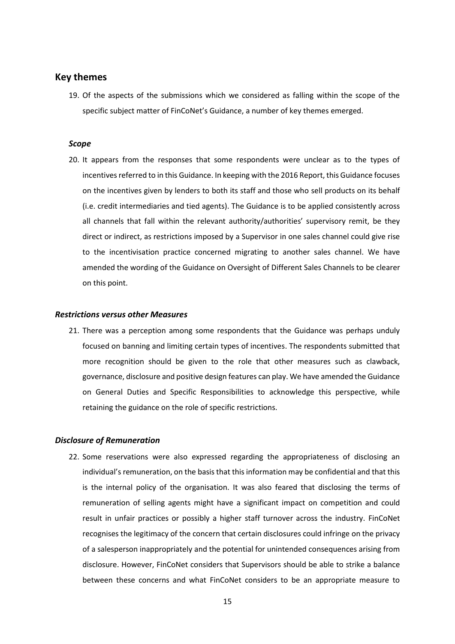#### **Key themes**

19. Of the aspects of the submissions which we considered as falling within the scope of the specific subject matter of FinCoNet's Guidance, a number of key themes emerged.

#### *Scope*

20. It appears from the responses that some respondents were unclear as to the types of incentives referred to in this Guidance. In keeping with the 2016 Report, this Guidance focuses on the incentives given by lenders to both its staff and those who sell products on its behalf (i.e. credit intermediaries and tied agents). The Guidance is to be applied consistently across all channels that fall within the relevant authority/authorities' supervisory remit, be they direct or indirect, as restrictions imposed by a Supervisor in one sales channel could give rise to the incentivisation practice concerned migrating to another sales channel. We have amended the wording of the Guidance on Oversight of Different Sales Channels to be clearer on this point.

#### *Restrictions versus other Measures*

21. There was a perception among some respondents that the Guidance was perhaps unduly focused on banning and limiting certain types of incentives. The respondents submitted that more recognition should be given to the role that other measures such as clawback, governance, disclosure and positive design features can play. We have amended the Guidance on General Duties and Specific Responsibilities to acknowledge this perspective, while retaining the guidance on the role of specific restrictions.

#### *Disclosure of Remuneration*

22. Some reservations were also expressed regarding the appropriateness of disclosing an individual's remuneration, on the basis that this information may be confidential and that this is the internal policy of the organisation. It was also feared that disclosing the terms of remuneration of selling agents might have a significant impact on competition and could result in unfair practices or possibly a higher staff turnover across the industry. FinCoNet recognises the legitimacy of the concern that certain disclosures could infringe on the privacy of a salesperson inappropriately and the potential for unintended consequences arising from disclosure. However, FinCoNet considers that Supervisors should be able to strike a balance between these concerns and what FinCoNet considers to be an appropriate measure to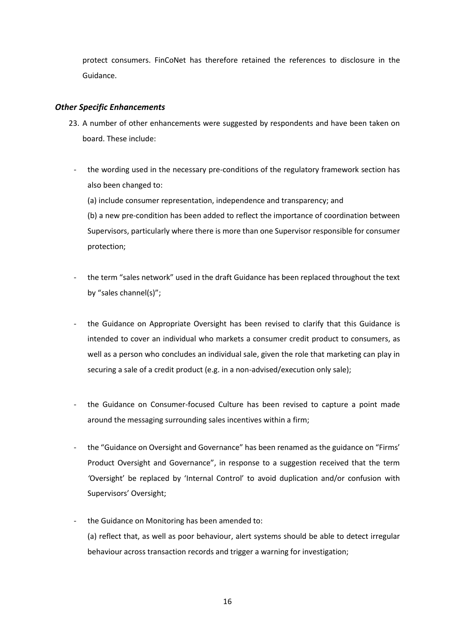protect consumers. FinCoNet has therefore retained the references to disclosure in the Guidance.

#### *Other Specific Enhancements*

- 23. A number of other enhancements were suggested by respondents and have been taken on board. These include:
	- the wording used in the necessary pre-conditions of the regulatory framework section has also been changed to:

(a) include consumer representation, independence and transparency; and (b) a new pre-condition has been added to reflect the importance of coordination between Supervisors, particularly where there is more than one Supervisor responsible for consumer protection;

- the term "sales network" used in the draft Guidance has been replaced throughout the text by "sales channel(s)";
- the Guidance on Appropriate Oversight has been revised to clarify that this Guidance is intended to cover an individual who markets a consumer credit product to consumers, as well as a person who concludes an individual sale, given the role that marketing can play in securing a sale of a credit product (e.g. in a non-advised/execution only sale);
- the Guidance on Consumer-focused Culture has been revised to capture a point made around the messaging surrounding sales incentives within a firm;
- the "Guidance on Oversight and Governance" has been renamed as the guidance on "Firms' Product Oversight and Governance", in response to a suggestion received that the term *'*Oversight' be replaced by 'Internal Control' to avoid duplication and/or confusion with Supervisors' Oversight;
- the Guidance on Monitoring has been amended to: (a) reflect that, as well as poor behaviour, alert systems should be able to detect irregular behaviour across transaction records and trigger a warning for investigation;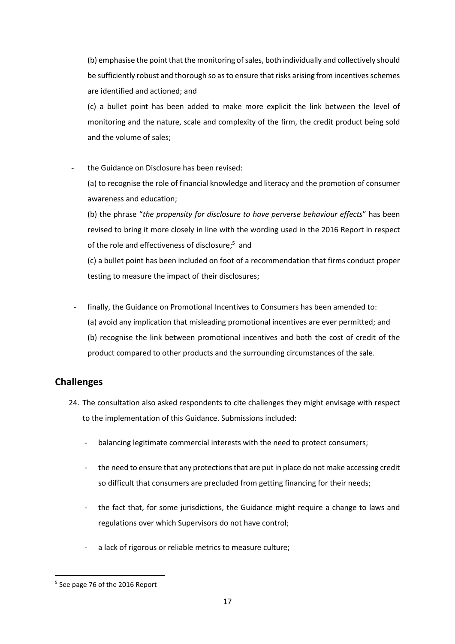(b) emphasise the point that the monitoring of sales, both individually and collectively should be sufficiently robust and thorough so as to ensure that risks arising from incentives schemes are identified and actioned; and

(c) a bullet point has been added to make more explicit the link between the level of monitoring and the nature, scale and complexity of the firm, the credit product being sold and the volume of sales;

the Guidance on Disclosure has been revised:

(a) to recognise the role of financial knowledge and literacy and the promotion of consumer awareness and education;

(b) the phrase "*the propensity for disclosure to have perverse behaviour effects*" has been revised to bring it more closely in line with the wording used in the 2016 Report in respect of the role and effectiveness of disclosure;<sup>5</sup> and

(c) a bullet point has been included on foot of a recommendation that firms conduct proper testing to measure the impact of their disclosures;

- finally, the Guidance on Promotional Incentives to Consumers has been amended to: (a) avoid any implication that misleading promotional incentives are ever permitted; and (b) recognise the link between promotional incentives and both the cost of credit of the product compared to other products and the surrounding circumstances of the sale.

### **Challenges**

- 24. The consultation also asked respondents to cite challenges they might envisage with respect to the implementation of this Guidance. Submissions included:
	- balancing legitimate commercial interests with the need to protect consumers;
	- the need to ensure that any protections that are put in place do not make accessing credit so difficult that consumers are precluded from getting financing for their needs;
	- the fact that, for some jurisdictions, the Guidance might require a change to laws and regulations over which Supervisors do not have control;
	- a lack of rigorous or reliable metrics to measure culture;

**<sup>.</sup>** 5 See page 76 of the 2016 Report